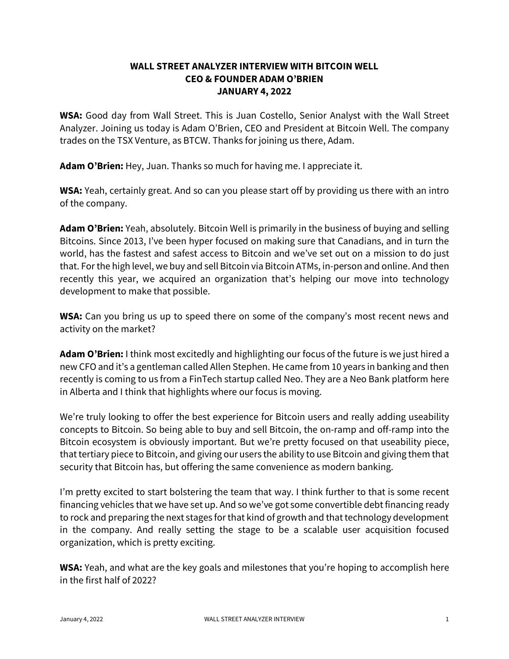## **WALL STREET ANALYZER INTERVIEW WITH BITCOIN WELL CEO & FOUNDER ADAM O'BRIEN JANUARY 4, 2022**

**WSA:** Good day from Wall Street. This is Juan Costello, Senior Analyst with the Wall Street Analyzer. Joining us today is Adam O'Brien, CEO and President at Bitcoin Well. The company trades on the TSX Venture, as BTCW. Thanks for joining us there, Adam.

**Adam O'Brien:** Hey, Juan. Thanks so much for having me. I appreciate it.

**WSA:** Yeah, certainly great. And so can you please start off by providing us there with an intro of the company.

**Adam O'Brien:** Yeah, absolutely. Bitcoin Well is primarily in the business of buying and selling Bitcoins. Since 2013, I've been hyper focused on making sure that Canadians, and in turn the world, has the fastest and safest access to Bitcoin and we've set out on a mission to do just that. For the high level, we buy and sell Bitcoin via Bitcoin ATMs, in-person and online. And then recently this year, we acquired an organization that's helping our move into technology development to make that possible.

**WSA:** Can you bring us up to speed there on some of the company's most recent news and activity on the market?

**Adam O'Brien:** I think most excitedly and highlighting our focus of the future is we just hired a new CFO and it's a gentleman called Allen Stephen. He came from 10 years in banking and then recently is coming to us from a FinTech startup called Neo. They are a Neo Bank platform here in Alberta and I think that highlights where our focus is moving.

We're truly looking to offer the best experience for Bitcoin users and really adding useability concepts to Bitcoin. So being able to buy and sell Bitcoin, the on-ramp and off-ramp into the Bitcoin ecosystem is obviously important. But we're pretty focused on that useability piece, that tertiary piece to Bitcoin, and giving our users the ability to use Bitcoin and giving them that security that Bitcoin has, but offering the same convenience as modern banking.

I'm pretty excited to start bolstering the team that way. I think further to that is some recent financing vehicles that we have set up. And so we've got some convertible debt financing ready to rock and preparing the next stages for that kind of growth and that technology development in the company. And really setting the stage to be a scalable user acquisition focused organization, which is pretty exciting.

**WSA:** Yeah, and what are the key goals and milestones that you're hoping to accomplish here in the first half of 2022?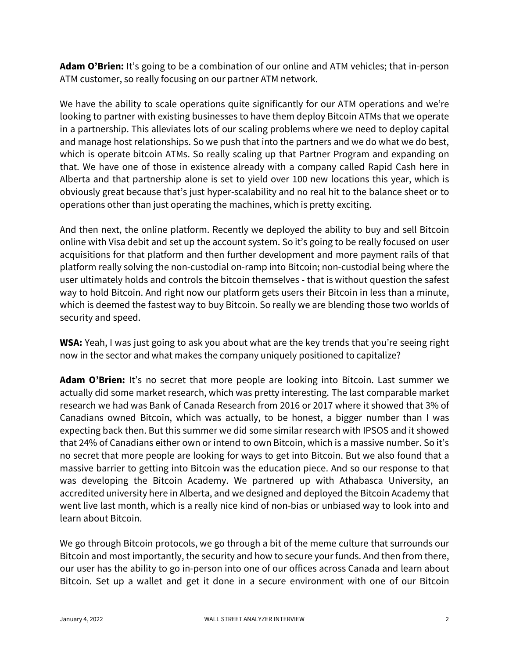**Adam O'Brien:** It's going to be a combination of our online and ATM vehicles; that in-person ATM customer, so really focusing on our partner ATM network.

We have the ability to scale operations quite significantly for our ATM operations and we're looking to partner with existing businesses to have them deploy Bitcoin ATMs that we operate in a partnership. This alleviates lots of our scaling problems where we need to deploy capital and manage host relationships. So we push that into the partners and we do what we do best, which is operate bitcoin ATMs. So really scaling up that Partner Program and expanding on that. We have one of those in existence already with a company called Rapid Cash here in Alberta and that partnership alone is set to yield over 100 new locations this year, which is obviously great because that's just hyper-scalability and no real hit to the balance sheet or to operations other than just operating the machines, which is pretty exciting.

And then next, the online platform. Recently we deployed the ability to buy and sell Bitcoin online with Visa debit and set up the account system. So it's going to be really focused on user acquisitions for that platform and then further development and more payment rails of that platform really solving the non-custodial on-ramp into Bitcoin; non-custodial being where the user ultimately holds and controls the bitcoin themselves - that is without question the safest way to hold Bitcoin. And right now our platform gets users their Bitcoin in less than a minute, which is deemed the fastest way to buy Bitcoin. So really we are blending those two worlds of security and speed.

**WSA:** Yeah, I was just going to ask you about what are the key trends that you're seeing right now in the sector and what makes the company uniquely positioned to capitalize?

**Adam O'Brien:** It's no secret that more people are looking into Bitcoin. Last summer we actually did some market research, which was pretty interesting. The last comparable market research we had was Bank of Canada Research from 2016 or 2017 where it showed that 3% of Canadians owned Bitcoin, which was actually, to be honest, a bigger number than I was expecting back then. But this summer we did some similar research with IPSOS and it showed that 24% of Canadians either own or intend to own Bitcoin, which is a massive number. So it's no secret that more people are looking for ways to get into Bitcoin. But we also found that a massive barrier to getting into Bitcoin was the education piece. And so our response to that was developing the Bitcoin Academy. We partnered up with Athabasca University, an accredited university here in Alberta, and we designed and deployed the Bitcoin Academy that went live last month, which is a really nice kind of non-bias or unbiased way to look into and learn about Bitcoin.

We go through Bitcoin protocols, we go through a bit of the meme culture that surrounds our Bitcoin and most importantly, the security and how to secure your funds. And then from there, our user has the ability to go in-person into one of our offices across Canada and learn about Bitcoin. Set up a wallet and get it done in a secure environment with one of our Bitcoin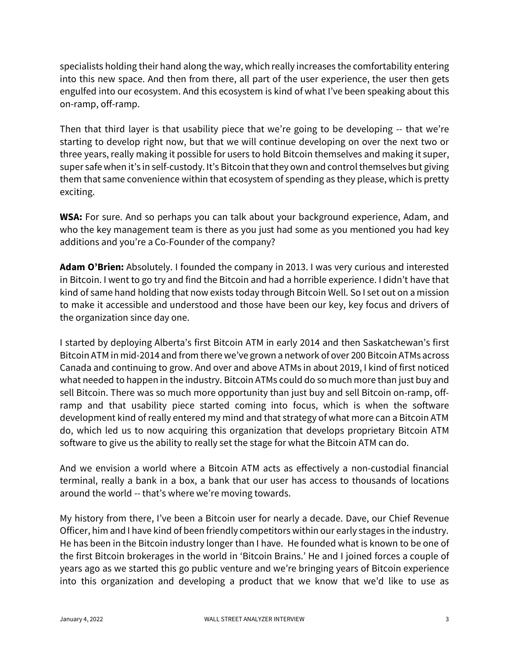specialists holding their hand along the way, which really increases the comfortability entering into this new space. And then from there, all part of the user experience, the user then gets engulfed into our ecosystem. And this ecosystem is kind of what I've been speaking about this on-ramp, off-ramp.

Then that third layer is that usability piece that we're going to be developing -- that we're starting to develop right now, but that we will continue developing on over the next two or three years, really making it possible for users to hold Bitcoin themselves and making it super, super safe when it's in self-custody. It's Bitcoin that they own and control themselves but giving them that same convenience within that ecosystem of spending as they please, which is pretty exciting.

**WSA:** For sure. And so perhaps you can talk about your background experience, Adam, and who the key management team is there as you just had some as you mentioned you had key additions and you're a Co-Founder of the company?

**Adam O'Brien:** Absolutely. I founded the company in 2013. I was very curious and interested in Bitcoin. I went to go try and find the Bitcoin and had a horrible experience. I didn't have that kind of same hand holding that now exists today through Bitcoin Well. So I set out on a mission to make it accessible and understood and those have been our key, key focus and drivers of the organization since day one.

I started by deploying Alberta's first Bitcoin ATM in early 2014 and then Saskatchewan's first Bitcoin ATM in mid-2014 and from there we've grown a network of over 200 Bitcoin ATMs across Canada and continuing to grow. And over and above ATMs in about 2019, I kind of first noticed what needed to happen in the industry. Bitcoin ATMs could do so much more than just buy and sell Bitcoin. There was so much more opportunity than just buy and sell Bitcoin on-ramp, offramp and that usability piece started coming into focus, which is when the software development kind of really entered my mind and that strategy of what more can a Bitcoin ATM do, which led us to now acquiring this organization that develops proprietary Bitcoin ATM software to give us the ability to really set the stage for what the Bitcoin ATM can do.

And we envision a world where a Bitcoin ATM acts as effectively a non-custodial financial terminal, really a bank in a box, a bank that our user has access to thousands of locations around the world -- that's where we're moving towards.

My history from there, I've been a Bitcoin user for nearly a decade. Dave, our Chief Revenue Officer, him and I have kind of been friendly competitors within our early stages in the industry. He has been in the Bitcoin industry longer than I have. He founded what is known to be one of the first Bitcoin brokerages in the world in 'Bitcoin Brains.' He and I joined forces a couple of years ago as we started this go public venture and we're bringing years of Bitcoin experience into this organization and developing a product that we know that we'd like to use as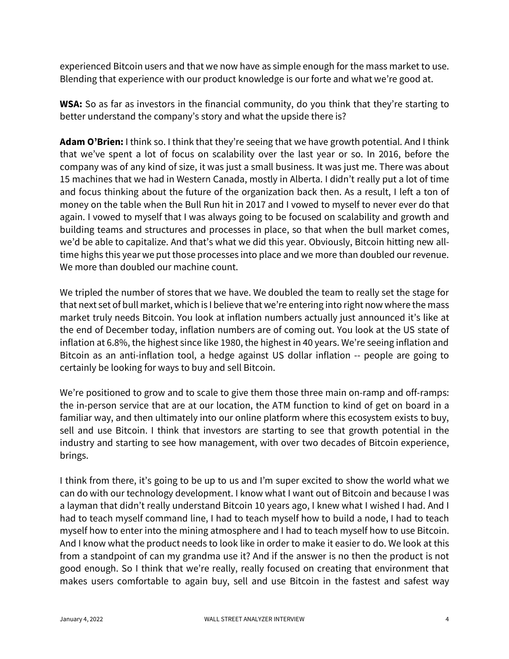experienced Bitcoin users and that we now have as simple enough for the mass market to use. Blending that experience with our product knowledge is our forte and what we're good at.

**WSA:** So as far as investors in the financial community, do you think that they're starting to better understand the company's story and what the upside there is?

**Adam O'Brien:** I think so. I think that they're seeing that we have growth potential. And I think that we've spent a lot of focus on scalability over the last year or so. In 2016, before the company was of any kind of size, it was just a small business. It was just me. There was about 15 machines that we had in Western Canada, mostly in Alberta. I didn't really put a lot of time and focus thinking about the future of the organization back then. As a result, I left a ton of money on the table when the Bull Run hit in 2017 and I vowed to myself to never ever do that again. I vowed to myself that I was always going to be focused on scalability and growth and building teams and structures and processes in place, so that when the bull market comes, we'd be able to capitalize. And that's what we did this year. Obviously, Bitcoin hitting new alltime highs this year we put those processes into place and we more than doubled our revenue. We more than doubled our machine count.

We tripled the number of stores that we have. We doubled the team to really set the stage for that next set of bull market, which is I believe that we're entering into right now where the mass market truly needs Bitcoin. You look at inflation numbers actually just announced it's like at the end of December today, inflation numbers are of coming out. You look at the US state of inflation at 6.8%, the highest since like 1980, the highest in 40 years. We're seeing inflation and Bitcoin as an anti-inflation tool, a hedge against US dollar inflation -- people are going to certainly be looking for ways to buy and sell Bitcoin.

We're positioned to grow and to scale to give them those three main on-ramp and off-ramps: the in-person service that are at our location, the ATM function to kind of get on board in a familiar way, and then ultimately into our online platform where this ecosystem exists to buy, sell and use Bitcoin. I think that investors are starting to see that growth potential in the industry and starting to see how management, with over two decades of Bitcoin experience, brings.

I think from there, it's going to be up to us and I'm super excited to show the world what we can do with our technology development. I know what I want out of Bitcoin and because I was a layman that didn't really understand Bitcoin 10 years ago, I knew what I wished I had. And I had to teach myself command line, I had to teach myself how to build a node, I had to teach myself how to enter into the mining atmosphere and I had to teach myself how to use Bitcoin. And I know what the product needs to look like in order to make it easier to do. We look at this from a standpoint of can my grandma use it? And if the answer is no then the product is not good enough. So I think that we're really, really focused on creating that environment that makes users comfortable to again buy, sell and use Bitcoin in the fastest and safest way